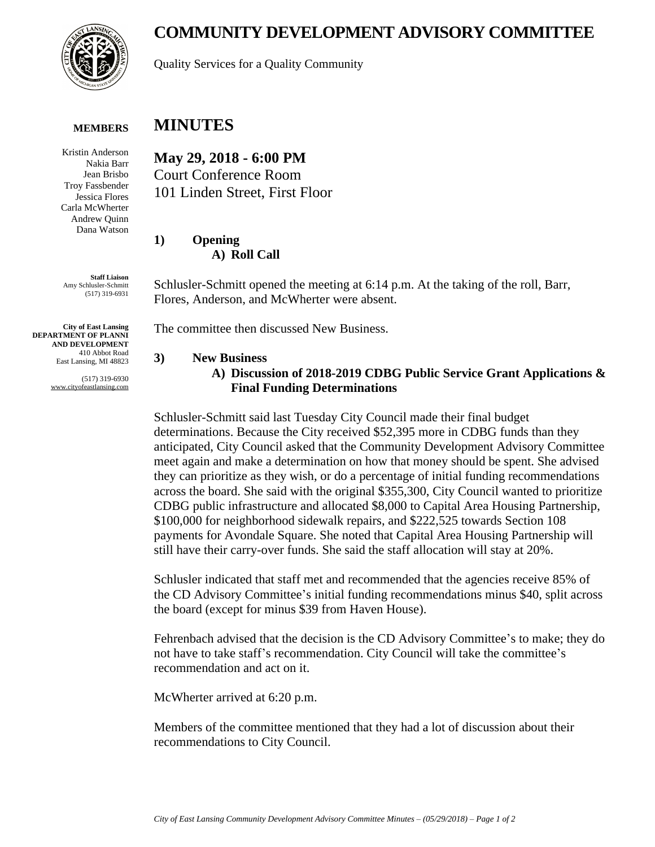# **COMMUNITY DEVELOPMENT ADVISORY COMMITTEE**



Quality Services for a Quality Community

#### **MEMBERS**

Kristin Anderson Nakia Barr Jean Brisbo Troy Fassbender Jessica Flores Carla McWherter Andrew Quinn Dana Watson

**Staff Liaison** Amy Schlusler-Schmitt (517) 319-6931

**City of East Lansing DEPARTMENT OF PLANNI AND DEVELOPMENT** 410 Abbot Road East Lansing, MI 48823

> (517) 319-6930 www.cityofeastlansing.com

## **MINUTES**

**May 29, 2018 - 6:00 PM** Court Conference Room 101 Linden Street, First Floor

**1) Opening A) Roll Call**

Schlusler-Schmitt opened the meeting at 6:14 p.m. At the taking of the roll, Barr, Flores, Anderson, and McWherter were absent.

The committee then discussed New Business.

#### **3) New Business**

### **A) Discussion of 2018-2019 CDBG Public Service Grant Applications & Final Funding Determinations**

Schlusler-Schmitt said last Tuesday City Council made their final budget determinations. Because the City received \$52,395 more in CDBG funds than they anticipated, City Council asked that the Community Development Advisory Committee meet again and make a determination on how that money should be spent. She advised they can prioritize as they wish, or do a percentage of initial funding recommendations across the board. She said with the original \$355,300, City Council wanted to prioritize CDBG public infrastructure and allocated \$8,000 to Capital Area Housing Partnership, \$100,000 for neighborhood sidewalk repairs, and \$222,525 towards Section 108 payments for Avondale Square. She noted that Capital Area Housing Partnership will still have their carry-over funds. She said the staff allocation will stay at 20%.

Schlusler indicated that staff met and recommended that the agencies receive 85% of the CD Advisory Committee's initial funding recommendations minus \$40, split across the board (except for minus \$39 from Haven House).

Fehrenbach advised that the decision is the CD Advisory Committee's to make; they do not have to take staff's recommendation. City Council will take the committee's recommendation and act on it.

McWherter arrived at 6:20 p.m.

Members of the committee mentioned that they had a lot of discussion about their recommendations to City Council.